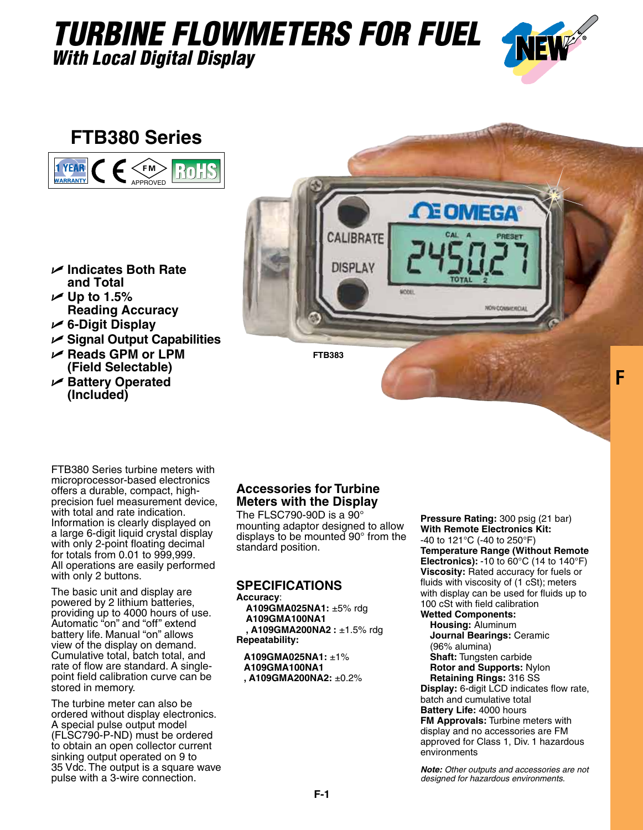## *TURBINE FLOWMETERS FOR FUEL With Local Digital Display*



**F**

### **FTB380 Series**



- U **Indicates Both Rate and Total**
- $\nu$  Up to 1.5% **Reading Accuracy**
- U **6-Digit Display**
- U **Signal Output Capabilities**
- U **Reads GPM or LPM (Field Selectable)**
- U **Battery Operated (Included)**



FTB380 Series turbine meters with microprocessor-based electronics offers a durable, compact, highprecision fuel measurement device, with total and rate indication. Information is clearly displayed on a large 6-digit liquid crystal display with only 2-point floating decimal for totals from 0.01 to 999,999. All operations are easily performed with only 2 buttons.

The basic unit and display are powered by 2 lithium batteries, providing up to 4000 hours of use. Automatic "on" and "off" extend battery life. Manual "on" allows view of the display on demand. Cumulative total, batch total, and rate of flow are standard. A singlepoint field calibration curve can be stored in memory.

The turbine meter can also be ordered without display electronics. A special pulse output model (FLSC790-P-ND) must be ordered to obtain an open collector current sinking output operated on 9 to 35 Vdc. The output is a square wave pulse with a 3-wire connection.

#### **Accessories for Turbine Meters with the Display**

The FLSC790-90D is a  $90^{\circ}$ mounting adaptor designed to allow displays to be mounted 90° from the standard position.

#### **SPECIFICATIONS**

**Accuracy**: **A109GMA025NA1:** ±5% rdg **A109GMA100NA1 , A109GMA200NA2 :** ±1.5% rdg **Repeatability:**

**A109GMA025NA1:** ±1% **A109GMA100NA1 , A109GMA200NA2:** ±0.2% **Pressure Rating:** 300 psig (21 bar) **With Remote Electronics Kit:**  -40 to 121°C (-40 to 250°F) **Temperature Range (Without Remote Electronics):** -10 to 60°C (14 to 140°F) **Viscosity:** Rated accuracy for fuels or fluids with viscosity of (1 cSt); meters with display can be used for fluids up to 100 cSt with field calibration **Wetted Components:**

**Housing:** Aluminum **Journal Bearings:** Ceramic (96% alumina) **Shaft:** Tungsten carbide **Rotor and Supports:** Nylon **Retaining Rings:** 316 SS **Display:** 6-digit LCD indicates flow rate, batch and cumulative total **Battery Life:** 4000 hours **FM Approvals:** Turbine meters with display and no accessories are FM approved for Class 1, Div. 1 hazardous environments

*Note: Other outputs and accessories are not designed for hazardous environments.*